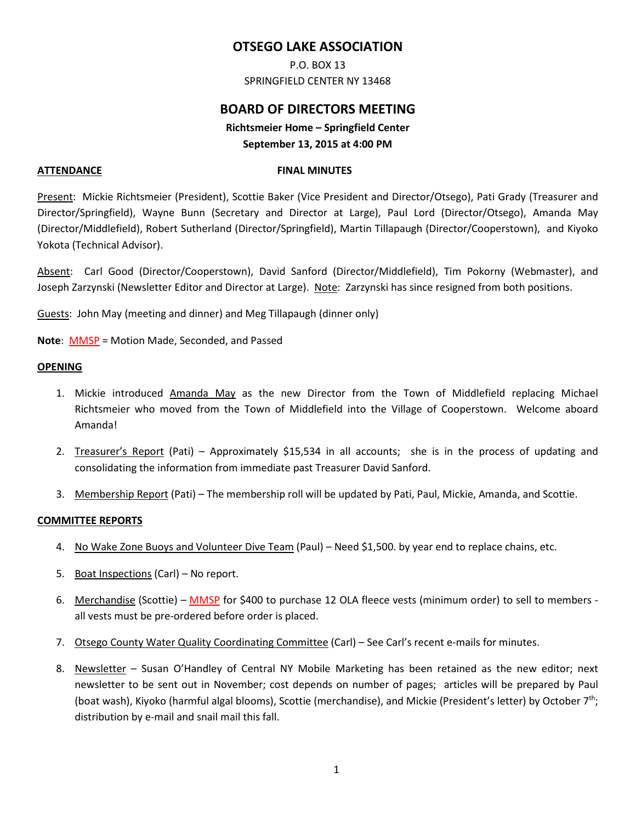# **OTSEGO LAKE ASSOCIATION**

P.O. BOX 13 SPRINGFIELD CENTER NY 13468

# **BOARD OF DIRECTORS MEETING**

**Richtsmeier Home – Springfield Center September 13, 2015 at 4:00 PM** 

#### **ATTENDANCE FINAL MINUTES**

Present: Mickie Richtsmeier (President), Scottie Baker (Vice President and Director/Otsego), Pati Grady (Treasurer and Director/Springfield), Wayne Bunn (Secretary and Director at Large), Paul Lord (Director/Otsego), Amanda May (Director/Middlefield), Robert Sutherland (Director/Springfield), Martin Tillapaugh (Director/Cooperstown), and Kiyoko Yokota (Technical Advisor).

Absent: Carl Good (Director/Cooperstown), David Sanford (Director/Middlefield), Tim Pokorny (Webmaster), and Joseph Zarzynski (Newsletter Editor and Director at Large). Note: Zarzynski has since resigned from both positions.

Guests: John May (meeting and dinner) and Meg Tillapaugh (dinner only)

**Note**: MMSP = Motion Made, Seconded, and Passed

### **OPENING**

- 1. Mickie introduced Amanda May as the new Director from the Town of Middlefield replacing Michael Richtsmeier who moved from the Town of Middlefield into the Village of Cooperstown. Welcome aboard Amanda!
- 2. Treasurer's Report (Pati) Approximately \$15,534 in all accounts; she is in the process of updating and consolidating the information from immediate past Treasurer David Sanford.
- 3. Membership Report (Pati) The membership roll will be updated by Pati, Paul, Mickie, Amanda, and Scottie.

## **COMMITTEE REPORTS**

- 4. No Wake Zone Buoys and Volunteer Dive Team (Paul) Need \$1,500. by year end to replace chains, etc.
- 5. Boat Inspections (Carl) No report.
- 6. Merchandise (Scottie) MMSP for \$400 to purchase 12 OLA fleece vests (minimum order) to sell to members all vests must be pre-ordered before order is placed.
- 7. Otsego County Water Quality Coordinating Committee (Carl) See Carl's recent e-mails for minutes.
- 8. Newsletter Susan O'Handley of Central NY Mobile Marketing has been retained as the new editor; next newsletter to be sent out in November; cost depends on number of pages; articles will be prepared by Paul (boat wash), Kiyoko (harmful algal blooms), Scottie (merchandise), and Mickie (President's letter) by October 7th; distribution by e-mail and snail mail this fall.